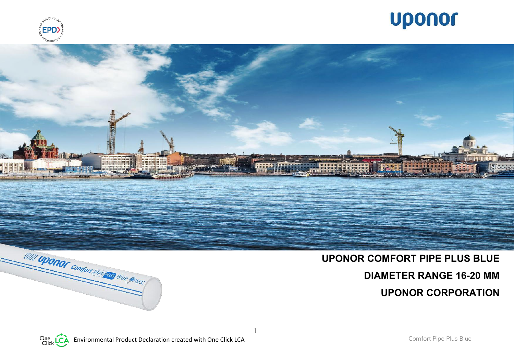





1

# VIDON UPONOT Comfort pipe pus Blue @ISCC

# **UPONOR COMFORT PIPE PLUS BLUE DIAMETER RANGE 16-20 MM UPONOR CORPORATION**

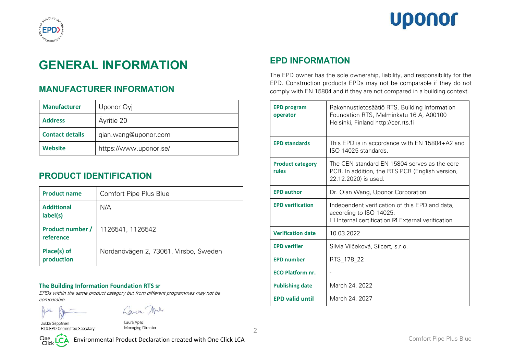



# **GENERAL INFORMATION**

# **MANUFACTURER INFORMATION**

| <b>Manufacturer</b>    | Uponor Oyj             |
|------------------------|------------------------|
| <b>Address</b>         | Ayritie 20             |
| <b>Contact details</b> | gian.wang@uponor.com   |
| <b>Website</b>         | https://www.uponor.se/ |

# **PRODUCT IDENTIFICATION**

| <b>Product name</b>           | Comfort Pipe Plus Blue                |
|-------------------------------|---------------------------------------|
| <b>Additional</b><br>label(s) | N/A                                   |
| Product number /<br>reference | 1126541, 1126542                      |
| Place(s) of<br>production     | Nordanövägen 2, 73061, Virsbo, Sweden |

#### **The Building Information Foundation RTS sr**

EPDs within the same product category but from different programmes may not be comparable.

Laun Mrs

Jukka Seppänen RTS EPD Committee Secretary

Laura Apilo Managing Director

2



# **EPD INFORMATION**

The EPD owner has the sole ownership, liability, and responsibility for the EPD. Construction products EPDs may not be comparable if they do not comply with EN 15804 and if they are not compared in a building context.

| <b>EPD program</b><br>operator   | Rakennustietosäätiö RTS, Building Information<br>Foundation RTS, Malminkatu 16 A, A00100<br>Helsinki, Finland http://cer.rts.fi              |
|----------------------------------|----------------------------------------------------------------------------------------------------------------------------------------------|
| <b>EPD standards</b>             | This EPD is in accordance with EN 15804+A2 and<br>ISO 14025 standards.                                                                       |
| <b>Product category</b><br>rules | The CEN standard EN 15804 serves as the core<br>PCR. In addition, the RTS PCR (English version,<br>22.12.2020) is used.                      |
| <b>EPD author</b>                | Dr. Qian Wang, Uponor Corporation                                                                                                            |
| <b>EPD verification</b>          | Independent verification of this EPD and data,<br>according to ISO 14025:<br>$\Box$ Internal certification $\boxtimes$ External verification |
| <b>Verification date</b>         | 10.03.2022                                                                                                                                   |
| <b>EPD</b> verifier              | Silvia Vilčeková, Silcert, s.r.o.                                                                                                            |
| <b>EPD number</b>                | RTS_178_22                                                                                                                                   |
| <b>ECO Platform nr.</b>          |                                                                                                                                              |
| <b>Publishing date</b>           | March 24, 2022                                                                                                                               |
| <b>EPD valid until</b>           | March 24, 2027                                                                                                                               |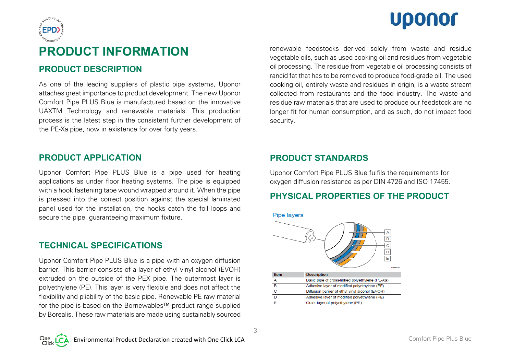



# **PRODUCT INFORMATION**

# **PRODUCT DESCRIPTION**

As one of the leading suppliers of plastic pipe systems, Uponor attaches great importance to product development. The new Uponor Comfort Pipe PLUS Blue is manufactured based on the innovative UAXTM Technology and renewable materials. This production process is the latest step in the consistent further development of the PE-Xa pipe, now in existence for over forty years.

## **PRODUCT APPLICATION**

Uponor Comfort Pipe PLUS Blue is a pipe used for heating applications as under floor heating systems. The pipe is equipped with a hook fastening tape wound wrapped around it. When the pipe is pressed into the correct position against the special laminated panel used for the installation, the hooks catch the foil loops and secure the pipe, guaranteeing maximum fixture.

## **TECHNICAL SPECIFICATIONS**

Uponor Comfort Pipe PLUS Blue is a pipe with an oxygen diffusion barrier. This barrier consists of a layer of ethyl vinyl alcohol (EVOH) extruded on the outside of the PEX pipe. The outermost layer is polyethylene (PE). This layer is very flexible and does not affect the flexibility and pliability of the basic pipe. Renewable PE raw material for the pipe is based on the Bornewables™ product range supplied by Borealis. These raw materials are made using sustainably sourced renewable feedstocks derived solely from waste and residue vegetable oils, such as used cooking oil and residues from vegetable oil processing. The residue from vegetable oil processing consists of rancid fat that has to be removed to produce food-grade oil. The used cooking oil, entirely waste and residues in origin, is a waste stream collected from restaurants and the food industry. The waste and residue raw materials that are used to produce our feedstock are no longer fit for human consumption, and as such, do not impact food security.

## **PRODUCT STANDARDS**

Uponor Comfort Pipe PLUS Blue fulfils the requirements for oxygen diffusion resistance as per DIN 4726 and ISO 17455.

# **PHYSICAL PROPERTIES OF THE PRODUCT**

**Pipe layers** 



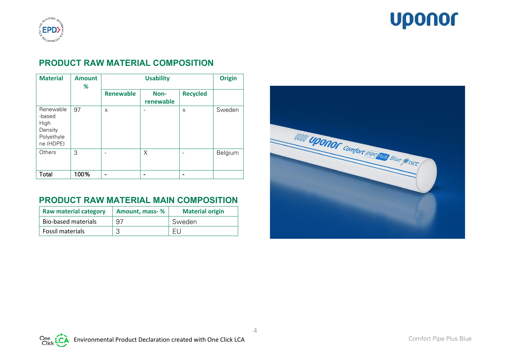

# **Uponor**

# **PRODUCT RAW MATERIAL COMPOSITION**

| <b>Material</b>                                                   | <b>Amount</b><br>℅ |                  | <b>Origin</b>     |                 |         |
|-------------------------------------------------------------------|--------------------|------------------|-------------------|-----------------|---------|
|                                                                   |                    | <b>Renewable</b> | Non-<br>renewable | <b>Recycled</b> |         |
| Renewable<br>-based<br>High<br>Density<br>Polyethyle<br>ne (HDPE) | 97                 | X                |                   | X               | Sweden  |
| Others                                                            | 3                  |                  | X                 |                 | Belgium |
| Total                                                             | 100%               | -                |                   |                 |         |

# **PRODUCT RAW MATERIAL MAIN COMPOSITION**

| <b>Raw material category</b> | Amount, mass-% | <b>Material origin</b> |
|------------------------------|----------------|------------------------|
| <b>Bio-based materials</b>   | 97             | Sweden                 |
| Fossil materials             |                | Fl                     |

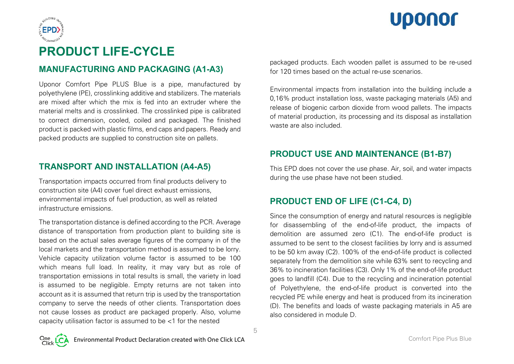



# **PRODUCT LIFE-CYCLE**

# **MANUFACTURING AND PACKAGING (A1-A3)**

Uponor Comfort Pipe PLUS Blue is a pipe, manufactured by polyethylene (PE), crosslinking additive and stabilizers. The materials are mixed after which the mix is fed into an extruder where the material melts and is crosslinked. The crosslinked pipe is calibrated to correct dimension, cooled, coiled and packaged. The finished product is packed with plastic films, end caps and papers. Ready and packed products are supplied to construction site on pallets.

# **TRANSPORT AND INSTALLATION (A4-A5)**

Transportation impacts occurred from final products delivery to construction site (A4) cover fuel direct exhaust emissions, environmental impacts of fuel production, as well as related infrastructure emissions.

The transportation distance is defined according to the PCR. Average distance of transportation from production plant to building site is based on the actual sales average figures of the company in of the local markets and the transportation method is assumed to be lorry. Vehicle capacity utilization volume factor is assumed to be 100 which means full load. In reality, it may vary but as role of transportation emissions in total results is small, the variety in load is assumed to be negligible. Empty returns are not taken into account as it is assumed that return trip is used by the transportation company to serve the needs of other clients. Transportation does not cause losses as product are packaged properly. Also, volume capacity utilisation factor is assumed to be <1 for the nested

packaged products. Each wooden pallet is assumed to be re-used for 120 times based on the actual re-use scenarios.

Environmental impacts from installation into the building include a 0,16% product installation loss, waste packaging materials (A5) and release of biogenic carbon dioxide from wood pallets. The impacts of material production, its processing and its disposal as installation waste are also included.

# **PRODUCT USE AND MAINTENANCE (B1-B7)**

This EPD does not cover the use phase. Air, soil, and water impacts during the use phase have not been studied.

# **PRODUCT END OF LIFE (C1-C4, D)**

Since the consumption of energy and natural resources is negligible for disassembling of the end-of-life product, the impacts of demolition are assumed zero (C1). The end-of-life product is assumed to be sent to the closest facilities by lorry and is assumed to be 50 km away (C2). 100% of the end-of-life product is collected separately from the demolition site while 63% sent to recycling and 36% to incineration facilities (C3). Only 1% of the end-of-life product goes to landfill (C4). Due to the recycling and incineration potential of Polyethylene, the end-of-life product is converted into the recycled PE while energy and heat is produced from its incineration (D). The benefits and loads of waste packaging materials in A5 are also considered in module D.

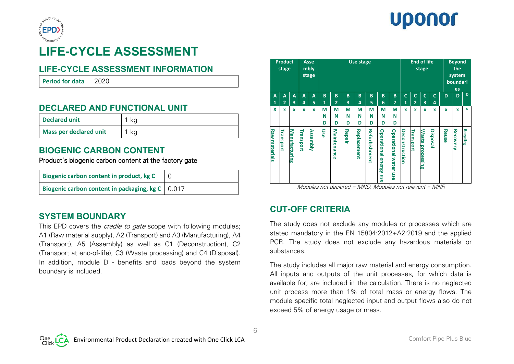



# **LIFE-CYCLE ASSESSMENT**

# **LIFE-CYCLE ASSESSMENT INFORMATION**

**Period for data** 2020

**DECLARED AND FUNCTIONAL UNIT**

| <b>Declared unit</b>          |    |
|-------------------------------|----|
| <b>Mass per declared unit</b> | kg |

# **BIOGENIC CARBON CONTENT**

Product's biogenic carbon content at the factory gate

| Biogenic carbon content in product, kg C             |  |
|------------------------------------------------------|--|
| Biogenic carbon content in packaging, kg $C$   0.017 |  |

# **SYSTEM BOUNDARY**

This EPD covers the *cradle to gate* scope with following modules; A1 (Raw material supply), A2 (Transport) and A3 (Manufacturing), A4 (Transport), A5 (Assembly) as well as C1 (Deconstruction), C2 (Transport at end-of-life), C3 (Waste processing) and C4 (Disposal). In addition, module D - benefits and loads beyond the system boundary is included.

|                      | <b>Product</b><br>stage |               |              | <b>Asse</b><br>mbly<br>stage |                   |                                     |             | Use stage                                                    |                      |                                               |                                 |                   | <b>End of life</b>             | stage                   |                         |                              | <b>Beyond</b><br>the<br>system<br>boundari<br>es |           |
|----------------------|-------------------------|---------------|--------------|------------------------------|-------------------|-------------------------------------|-------------|--------------------------------------------------------------|----------------------|-----------------------------------------------|---------------------------------|-------------------|--------------------------------|-------------------------|-------------------------|------------------------------|--------------------------------------------------|-----------|
| A<br>1               | A<br>$\overline{2}$     | A<br>3        | A<br>4       | A<br>5                       | B<br>$\mathbf{1}$ | B<br>$\overline{2}$                 | B<br>3      | B<br>4                                                       | B<br>5               | B<br>6                                        | B<br>7                          | $\mathsf{C}$<br>1 | $\mathsf{C}$<br>$\overline{2}$ | $\mathbf{C}$<br>3       | $\mathsf{C}$<br>4       | D                            | D                                                | D         |
| X                    | x                       | $\mathbf{x}$  | $\mathbf{x}$ | x                            | М<br>Ν<br>D       | M<br>N<br>D                         | M<br>Ν<br>D | М<br>N<br>D                                                  | М<br>N<br>D          | М<br>N<br>D                                   | M<br>N<br>D                     | $\mathbf{x}$      | $\mathbf x$                    | $\mathbf x$             | $\mathbf{x}$            | $\mathbf{x}$                 | $\mathbf{x}$                                     | x         |
| <b>Raw materials</b> | Transport               | Manufacturing | Transport    | <b>Assembly</b>              | Use               | Maintenance<br>Modules not declared | Repair      | <b>Replacement</b><br>$\lambda$ $\lambda$ $\lambda$ $\Gamma$ | <b>Refurbishment</b> | <b>Operational</b><br>energy<br>use<br>Moduli | <b>Operational water</b><br>ose | Deconstruction    | Transport                      | <b>Waste processing</b> | Disposal<br>$A$ $A$ $D$ | Reus<br>$\ddot{\phantom{a}}$ | Recovery                                         | Recycling |

Modules not declared = MND. Modules not relevant = MNR

# **CUT-OFF CRITERIA**

The study does not exclude any modules or processes which are stated mandatory in the EN 15804:2012+A2:2019 and the applied PCR. The study does not exclude any hazardous materials or substances.

The study includes all major raw material and energy consumption. All inputs and outputs of the unit processes, for which data is available for, are included in the calculation. There is no neglected unit process more than 1% of total mass or energy flows. The module specific total neglected input and output flows also do not exceed 5% of energy usage or mass.

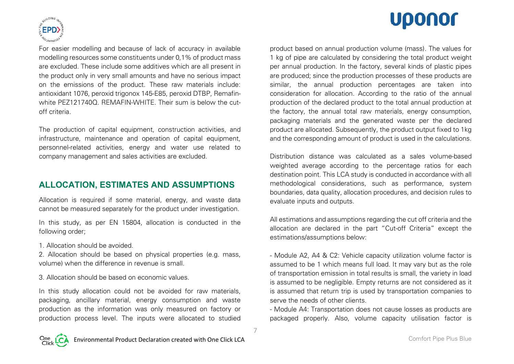# Uponor



For easier modelling and because of lack of accuracy in available modelling resources some constituents under 0,1% of product mass are excluded. These include some additives which are all present in the product only in very small amounts and have no serious impact on the emissions of the product. These raw materials include: antioxidant 1076, peroxid trigonox 145-E85, peroxid DTBP, Remafinwhite PFZ1217400. REMAFIN-WHITE. Their sum is below the cutoff criteria.

The production of capital equipment, construction activities, and infrastructure, maintenance and operation of capital equipment, personnel-related activities, energy and water use related to company management and sales activities are excluded.

# **ALLOCATION, ESTIMATES AND ASSUMPTIONS**

Allocation is required if some material, energy, and waste data cannot be measured separately for the product under investigation.

In this study, as per EN 15804, allocation is conducted in the following order;

1. Allocation should be avoided.

2. Allocation should be based on physical properties (e.g. mass, volume) when the difference in revenue is small.

3. Allocation should be based on economic values.

In this study allocation could not be avoided for raw materials, packaging, ancillary material, energy consumption and waste production as the information was only measured on factory or production process level. The inputs were allocated to studied product based on annual production volume (mass). The values for 1 kg of pipe are calculated by considering the total product weight per annual production. In the factory, several kinds of plastic pipes are produced; since the production processes of these products are similar, the annual production percentages are taken into consideration for allocation. According to the ratio of the annual production of the declared product to the total annual production at the factory, the annual total raw materials, energy consumption, packaging materials and the generated waste per the declared product are allocated. Subsequently, the product output fixed to 1kg and the corresponding amount of product is used in the calculations.

Distribution distance was calculated as a sales volume-based weighted average according to the percentage ratios for each destination point. This LCA study is conducted in accordance with all methodological considerations, such as performance, system boundaries, data quality, allocation procedures, and decision rules to evaluate inputs and outputs.

All estimations and assumptions regarding the cut off criteria and the allocation are declared in the part "Cut-off Criteria" except the estimations/assumptions below:

- Module A2, A4 & C2: Vehicle capacity utilization volume factor is assumed to be 1 which means full load. It may vary but as the role of transportation emission in total results is small, the variety in load is assumed to be negligible. Empty returns are not considered as it is assumed that return trip is used by transportation companies to serve the needs of other clients.

- Module A4: Transportation does not cause losses as products are packaged properly. Also, volume capacity utilisation factor is



7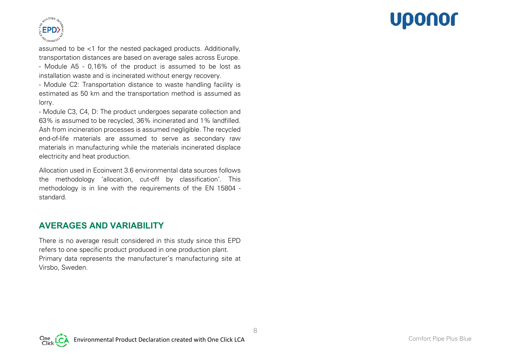# Uponor



assumed to be <1 for the nested packaged products. Additionally, transportation distances are based on average sales across Europe.

- Module A5 - 0,16% of the product is assumed to be lost as installation waste and is incinerated without energy recovery.

- Module C2: Transportation distance to waste handling facility is estimated as 50 km and the transportation method is assumed as lorry.

- Module C3, C4, D: The product undergoes separate collection and 63% is assumed to be recycled, 36% incinerated and 1% landfilled. Ash from incineration processes is assumed negligible. The recycled end-of-life materials are assumed to serve as secondary raw materials in manufacturing while the materials incinerated displace electricity and heat production.

Allocation used in Ecoinvent 3.6 environmental data sources follows the methodology 'allocation, cut-off by classification'. This methodology is in line with the requirements of the EN 15804 standard.

# **AVERAGES AND VARIABILITY**

There is no average result considered in this study since this EPD refers to one specific product produced in one production plant. Primary data represents the manufacturer's manufacturing site at Virsbo, Sweden.

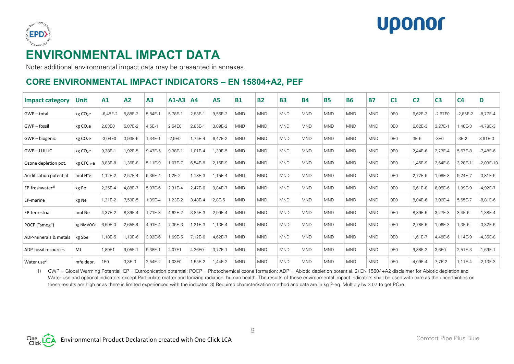



# **ENVIRONMENTAL IMPACT DATA**

Note: additional environmental impact data may be presented in annexes.

# **CORE ENVIRONMENTAL IMPACT INDICATORS – EN 15804+A2, PEF**

| <b>Impact category</b>  | <b>Unit</b>          | A1           | A2      | A3      | $A1-A3$    | A <sub>4</sub> | <b>A5</b> | <b>B1</b>  | <b>B2</b>  | <b>B3</b>  | <b>B4</b>  | <b>B5</b>  | <b>B6</b>  | <b>B7</b>  | C <sub>1</sub> | C <sub>2</sub> | C <sub>3</sub> | C <sub>4</sub> | D           |
|-------------------------|----------------------|--------------|---------|---------|------------|----------------|-----------|------------|------------|------------|------------|------------|------------|------------|----------------|----------------|----------------|----------------|-------------|
| GWP-total               | kg CO <sub>2</sub> e | $-6.48E - 2$ | 5,88E-2 | 5,84E-1 | 5.78E-1    | 2.83E-1        | 9.56E-2   | <b>MND</b> | <b>MND</b> | <b>MND</b> | <b>MND</b> | <b>MND</b> | <b>MND</b> | <b>MND</b> | 0E0            | 6,62E-3        | $-2.67E0$      | $-2,85E-2$     | $-8,77E-4$  |
| GWP-fossil              | kg CO <sub>2</sub> e | 2,03E0       | 5,87E-2 | 4,5E-1  | 2,54E0     | 2,85E-1        | 3,09E-2   | <b>MND</b> | <b>MND</b> | <b>MND</b> | <b>MND</b> | <b>MND</b> | <b>MND</b> | <b>MND</b> | 0E0            | 6,62E-3        | 3,27E-1        | 1,48E-3        | $-4,78E-3$  |
| GWP - biogenic          | kg CO <sub>2</sub> e | $-3,04E0$    | 3,93E-5 | ,34E-1  | $-2,9E0$   | 1,75E-4        | 6,47E-2   | <b>MND</b> | <b>MND</b> | <b>MND</b> | <b>MND</b> | <b>MND</b> | <b>MND</b> | <b>MND</b> | 0E0            | $3E-6$         | $-3E0$         | $-3E-2$        | 3,91E-3     |
| <b>GWP-LULUC</b>        | kg CO <sub>2</sub> e | 9,38E-1      | 1,92E-5 | 9,47E-5 | 9,38E-1    | 1,01E-4        | ,39E-5    | <b>MND</b> | <b>MND</b> | <b>MND</b> | <b>MND</b> | <b>MND</b> | <b>MND</b> | <b>MND</b> | 0E0            | 2.44E-6        | 2,23E-4        | 5,67E-8        | $-7,48E-6$  |
| Ozone depletion pot.    | kg CFC-11e           | 8,83E-8      | 1,36E-8 | 5,11E-9 | 1,07E-7    | 6,54E-8        | 2,16E-9   | <b>MND</b> | <b>MND</b> | <b>MND</b> | <b>MND</b> | <b>MND</b> | <b>MND</b> | <b>MND</b> | 0E0            | 1,45E-9        | 2,64E-8        | 3,28E-11       | $-2,09E-10$ |
| Acidification potential | mol H <sup>+</sup> e | 1,12E-2      | 2,57E-4 | 5,35E-4 | $.2E-2$    | 1,18E-3        | 1,15E-4   | <b>MND</b> | <b>MND</b> | <b>MND</b> | <b>MND</b> | <b>MND</b> | <b>MND</b> | <b>MND</b> | 0E0            | 2,77E-5        | 1,08E-3        | 9,24E-7        | $-3,81E-5$  |
| $EP-freeshwater3$       | kg Pe                | 2,25E-4      | 4,88E-7 | 5,07E-6 | 2,31E-4    | 2,47E-6        | 9,84E-7   | <b>MND</b> | <b>MND</b> | <b>MND</b> | <b>MND</b> | <b>MND</b> | <b>MND</b> | <b>MND</b> | 0E0            | 6,61E-8        | 6,05E-6        | 1,99E-9        | $-4,92E-7$  |
| EP-marine               | kg Ne                | 1.21E-2      | 7,59E-5 | ,39E-4  | $.23E - 2$ | 3.48E-4        | 2,8E-5    | <b>MND</b> | <b>MND</b> | <b>MND</b> | <b>MND</b> | <b>MND</b> | <b>MND</b> | <b>MND</b> | 0E0            | 8.04E-6        | 3,06E-4        | 5,65E-7        | $-8.81E-6$  |
| EP-terrestrial          | mol Ne               | 4,37E-2      | 8,39E-4 | 1,71E-3 | 4,62E-2    | 3,85E-3        | 2,99E-4   | <b>MND</b> | <b>MND</b> | <b>MND</b> | <b>MND</b> | <b>MND</b> | <b>MND</b> | <b>MND</b> | 0E0            | 8,89E-5        | 3,27E-3        | $3,4E-6$       | $-1,38E-4$  |
| POCP ("smog")           | kg NMVOCe            | 6,59E-3      | 2,65E-4 | 4,91E-4 | 7,35E-3    | 1,21E-3        | 1,13E-4   | <b>MND</b> | <b>MND</b> | <b>MND</b> | <b>MND</b> | <b>MND</b> | <b>MND</b> | <b>MND</b> | 0E0            | 2,78E-5        | 1,06E-3        | 1,3E-6         | $-3,32E-5$  |
| ADP-minerals & metals   | kg Sbe               | 1,18E-5      | 1,19E-6 | 3,92E-6 | .69E-5     | 7,12E-6        | 4,62E-7   | <b>MND</b> | <b>MND</b> | <b>MND</b> | <b>MND</b> | <b>MND</b> | <b>MND</b> | <b>MND</b> | 0E0            | 1,61E-7        | 4,48E-6        | 1,14E-9        | $-4,35E-8$  |
| ADP-fossil resources    | MJ                   | 1,89E1       | 9,05E-1 | 9,38E-1 | 2,07E1     | 4,36E0         | 3,77E-1   | <b>MND</b> | <b>MND</b> | <b>MND</b> | <b>MND</b> | <b>MND</b> | <b>MND</b> | <b>MND</b> | 0E0            | 9,88E-2        | 3,6E0          | 2,51E-3        | $-1,69E-1$  |
| Water use $^{2)}$       | $m^3$ e depr.        | <b>1E0</b>   | 3,3E-3  | 2,54E-2 | 1,03E0     | 1,55E-2        | A4E-2     | <b>MND</b> | <b>MND</b> | <b>MND</b> | <b>MND</b> | <b>MND</b> | <b>MND</b> | <b>MND</b> | 0E0            | 4,09E-4        | $7,7E-2$       | 1,11E-4        | $-2,13E-3$  |

1) GWP = Global Warming Potential; EP = Eutrophication potential; POCP = Photochemical ozone formation; ADP = Abiotic depletion potential. 2) EN 15804+A2 disclaimer for Abiotic depletion and Water use and optional indicators except Particulate matter and Ionizing radiation, human health. The results of these environmental impact indicators shall be used with care as the uncertainties on these results are high or as there is limited experienced with the indicator. 3) Required characterisation method and data are in kg P-eq. Multiply by 3,07 to get PO4e.

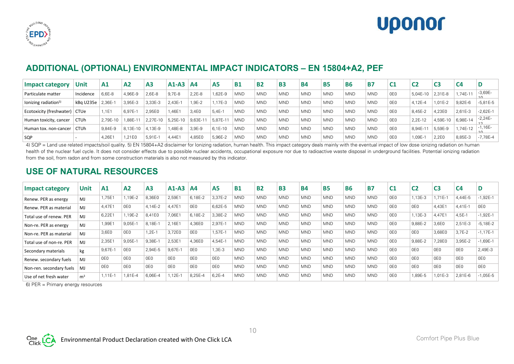



# **ADDITIONAL (OPTIONAL) ENVIRONMENTAL IMPACT INDICATORS – EN 15804+A2, PEF**

| <b>Impact category</b>           | Unit        | A1        | A <sub>2</sub> | A <sub>3</sub> | $A1-A3$            | A <sub>4</sub> | A <sub>5</sub> | <b>B1</b>  | <b>B2</b>  | <b>B3</b>  | <b>B4</b>  | <b>B5</b>  | <b>B6</b>  | <b>B7</b>  | $^{\circ}$ C1   | C2       |          | C4       |                   |
|----------------------------------|-------------|-----------|----------------|----------------|--------------------|----------------|----------------|------------|------------|------------|------------|------------|------------|------------|-----------------|----------|----------|----------|-------------------|
| Particulate matter               | Incidence   | 6.6E-8    | 4,96E-9        | 2,6E-8         | 9.7E-8             | $2,2E-8$       | 1.62E-9        | <b>MND</b> | <b>MND</b> | <b>MND</b> | <b>MND</b> | <b>MND</b> | <b>MND</b> | <b>MND</b> | 0E <sub>0</sub> | 5.04E-10 | 2,31E-8  | ,74E-11  | $-3,69E-$<br>1 Ω. |
| lonizing radiation <sup>5)</sup> | kBg U235e   | $2.36E -$ | 3,95E-3        | 3,33E-3        | $2,43E-$           | $.9E-2$        | 1.17E-3        | <b>MND</b> | <b>MND</b> | <b>MND</b> | <b>MND</b> | <b>MND</b> | <b>MND</b> | <b>MND</b> | 0E <sub>0</sub> | 4.12E-4  | 1,01E-2  | 9,82E-6  | $-5,81E-5$        |
| Ecotoxicity (freshwater) CTUe    |             | 1.1E1     | 6,97E-         | 2,95E0         | 1,46E1             | 3.4E0          | $5,4E-1$       | <b>MND</b> | <b>MND</b> | <b>MND</b> | <b>MND</b> | <b>MND</b> | <b>MND</b> | <b>MND</b> | 0E <sub>0</sub> | 8,45E-2  | 4,23E0   | 2,61E-3  | $-2,62E-1$        |
| Human toxicity, cancer           | <b>CTUh</b> | 2.79E-10  | .88E-1         | 2.27E-10       | 5.25E-10           | 9.63E-11       | 5.87E-11       | <b>MND</b> | <b>MND</b> | <b>MND</b> | <b>MND</b> | <b>MND</b> | <b>MND</b> | <b>MND</b> | 0E0             | 2.2E-12  | 4,59E-10 | 6,98E-14 | $-2,24E-$         |
| Human tox, non-cancer            | <b>CTUh</b> | 9.84E-9   | 8.13E-10       | 4.13E-9        | ,48E-8             | 3.9E-9         | $6.1E-10$      | <b>MND</b> | <b>MND</b> | <b>MND</b> | <b>MND</b> | <b>MND</b> | <b>MND</b> | <b>MND</b> | 0E <sub>0</sub> | 8,94E-1  | 5,59E-9  | ,74E-12  | $-1,16E-$         |
| SQP                              |             | 4,26E1    | 1.21E0         | $5.91E-1$      | 4.44E <sup>1</sup> | 4.85E0         | 5,96E-2        | <b>MND</b> | <b>MND</b> | <b>MND</b> | <b>MND</b> | <b>MND</b> | <b>MND</b> | <b>MND</b> | 0E0             | .09E-    | 2.2E0    | 8.85E-3  | $-7.78E - 4$      |

4) SQP = Land use related impacts/soil quality. 5) EN 15804+A2 disclaimer for Ionizing radiation, human health. This impact category deals mainly with the eventual impact of low dose ionizing radiation on human health of the nuclear fuel cycle. It does not consider effects due to possible nuclear accidents, occupational exposure nor due to radioactive waste disposal in underground facilities. Potential ionizing radiation from the soil, from radon and from some construction materials is also not measured by this indicator.

# **USE OF NATURAL RESOURCES**

| <b>Impact category</b>   | <b>Unit</b>    | A1              | A <sub>2</sub>  | A <sub>3</sub> | $A1-A3$  | A4              | A5              | <b>B1</b>  | <b>B2</b>  | <b>B3</b>  | <b>B4</b>  | <b>B5</b>  | <b>B6</b>  | <b>B7</b>  | C <sub>1</sub> | C <sub>2</sub> | C <sub>3</sub>  | C <sub>4</sub> | D          |
|--------------------------|----------------|-----------------|-----------------|----------------|----------|-----------------|-----------------|------------|------------|------------|------------|------------|------------|------------|----------------|----------------|-----------------|----------------|------------|
| Renew. PER as energy     | MJ             | .,75E1          | 1,19E-2         | 8,36E0         | 2,59E1   | 6,18E-2         | 3,37E-2         | <b>MND</b> | <b>MND</b> | <b>MND</b> | <b>MND</b> | <b>MND</b> | <b>MND</b> | <b>MND</b> | 0E0            | ,13E-3         | $.71E-1$        | 4,44E-5        | 1,92E-1    |
| Renew. PER as material   | M <sub>J</sub> | 4.47E1          | 0E <sub>0</sub> | 4.14E-2        | 4.47E1   | 0E <sub>0</sub> | 6,62E-5         | <b>MND</b> | <b>MND</b> | <b>MND</b> | <b>MND</b> | <b>MND</b> | <b>MND</b> | <b>MND</b> | 0E0            | 0E0            | 4,43E1          | $4.41E-1$      | 0E0        |
| Total use of renew. PER  | M <sub>J</sub> | 6,22E1          | 1,19E-2         | 8,41E0         | 7,06E1   | 6,18E-2         | 3,38E-2         | <b>MND</b> | <b>MND</b> | <b>MND</b> | <b>MND</b> | <b>MND</b> | <b>MND</b> | <b>MND</b> | 0E0            | ,13E-3         | 4,47E1          | 4,5E-1         | $-1,92E-1$ |
| Non-re. PER as energy    | MJ             | ,99E1           | 9,05E-1         | 8,18E-1        | 2,16E1   | 4,36E0          | 2,97E-1         | <b>MND</b> | <b>MND</b> | <b>MND</b> | <b>MND</b> | <b>MND</b> | <b>MND</b> | <b>MND</b> | 0E0            | 9,88E-2        | 3,6E0           | 2,51E-3        | $-5,18E-2$ |
| Non-re. PER as material  | M <sub>J</sub> | 3,6E0           | 0E <sub>0</sub> | $.2E-$         | 3,72E0   | 0E <sub>0</sub> | 1,57E-1         | <b>MND</b> | <b>MND</b> | <b>MND</b> | <b>MND</b> | <b>MND</b> | <b>MND</b> | <b>MND</b> | 0E0            | 0E0            | 3,68E0          | $3,7E-2$       | $-1,17E-1$ |
| Total use of non-re. PER | M <sub>J</sub> | 2,35E1          | $9,05E-$        | 9,38E-1        | 2,53E1   | 4,36E0          | 4,54E-1         | <b>MND</b> | <b>MND</b> | <b>MND</b> | <b>MND</b> | <b>MND</b> | <b>MND</b> | <b>MND</b> | 0E0            | 9,88E-2        | 7,28E0          | 3,95E-2        | 1,69E-1    |
| Secondary materials      | kg             | 9,67E-1         | 0E <sub>0</sub> | 2,94E-5        | $9,67E-$ | 0E <sub>0</sub> | 1,3E-3          | <b>MND</b> | <b>MND</b> | <b>MND</b> | <b>MND</b> | <b>MND</b> | <b>MND</b> | <b>MND</b> | 0E0            | 0E0            | 0E <sub>0</sub> | 0E0            | 2,49E-3    |
| Renew. secondary fuels   | M <sub>J</sub> | 0E <sub>0</sub> | 0E <sub>0</sub> | 0E0            | 0E0      | 0E <sub>0</sub> | 0E <sub>0</sub> | <b>MND</b> | <b>MND</b> | <b>MND</b> | <b>MND</b> | <b>MND</b> | <b>MND</b> | <b>MND</b> | 0E0            | 0E0            | 0E <sub>0</sub> | OE0            | 0E0        |
| Non-ren. secondary fuels | M <sub>J</sub> | 0E <sub>0</sub> | 0E0             | 0E0            | 0E0      | 0E <sub>0</sub> | 0E <sub>0</sub> | <b>MND</b> | <b>MND</b> | <b>MND</b> | <b>MND</b> | <b>MND</b> | <b>MND</b> | <b>MND</b> | 0E0            | 0E0            | 0E0             | 0E0            | 0E0        |
| Use of net fresh water   | m <sup>3</sup> | 1,11E-1         | 1,81E-4         | 6,06E-4        | $1,12E-$ | 8,25E-4         | $6,2E-4$        | <b>MND</b> | <b>MND</b> | <b>MND</b> | <b>MND</b> | <b>MND</b> | <b>MND</b> | <b>MND</b> | 0E0            | ,89E-5         | $,01E-3$        | 2,81E-6        | $-1,05E-5$ |

10

6) PER = Primary energy resources

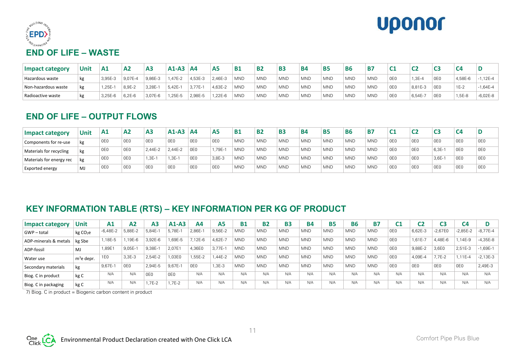



| <b>Impact category</b> | Unit | A1         | A <sub>2</sub> | A <sub>3</sub> | $A1-A3$   | <b>A4</b> | <b>A5</b> | <b>B1</b>  | <b>B2</b>  | <b>B3</b>  | <b>B4</b>  | <b>B5</b>  | <b>B6</b>  | <b>B7</b>  | ີ               | ∼        |     |         |              |
|------------------------|------|------------|----------------|----------------|-----------|-----------|-----------|------------|------------|------------|------------|------------|------------|------------|-----------------|----------|-----|---------|--------------|
| Hazardous waste        | kg   | 3,95E-3    | 9.07E-4        | 9,86E-3        | 47E-2     | 4,53E-3   | 2,46E-3   | <b>MND</b> | <b>MND</b> | <b>MND</b> | <b>MND</b> | <b>MND</b> | <b>MND</b> | <b>MND</b> | 0E <sub>0</sub> | $1,3E-4$ | 0E0 | 4,58E-6 | $1,12E-4$    |
| Non-hazardous waste    | kg   | $.25E - 1$ | 8,9E-2         | $3,28E-1$      | $5.42E -$ | 3,77E-1   | 4,63E-2   | <b>MND</b> | <b>MND</b> | <b>MND</b> | <b>MND</b> | <b>MND</b> | <b>MND</b> | <b>MND</b> | 0E <sub>0</sub> | 8.81E-3  | 0E0 | $1E-2$  | $-1.64E - 4$ |
| Radioactive waste      | kg   | 3,25E-6    | $6,2E-6$       | 3,07E-6        | 25E-5     | 2,98E-5   | .22E-6    | <b>MND</b> | <b>MND</b> | <b>MND</b> | <b>MND</b> | <b>MND</b> | <b>MND</b> | <b>MND</b> | 0E <sub>0</sub> | 6.54E-7  | 0E0 | 5-35,   | $-6,02E-8$   |

# **END OF LIFE – OUTPUT FLOWS**

| <b>Impact category</b>   | <b>Unit</b> | A1  | A <sub>2</sub> | A <sub>3</sub>  | $A1-A3$ $AA$    |                 | A <sub>5</sub>  | <b>B1</b>  | <b>B2</b>  | <b>B3</b>  | B4         | <b>B5</b>  | <b>B6</b>  | <b>B7</b>  | C <sub>1</sub>  | C<br>∽ | СS              | C <sub>4</sub> |                 |
|--------------------------|-------------|-----|----------------|-----------------|-----------------|-----------------|-----------------|------------|------------|------------|------------|------------|------------|------------|-----------------|--------|-----------------|----------------|-----------------|
| Components for re-use    | kg          | 0E0 | 0E0            | 0E <sub>0</sub> | 0 <sub>E0</sub> | 0E <sub>0</sub> | 0E0             | <b>MND</b> | <b>MND</b> | <b>MND</b> | <b>MND</b> | <b>MND</b> | <b>MND</b> | <b>MND</b> | OE <sub>0</sub> | 0E0    | 0E <sub>0</sub> | 0E0            | OE0             |
| Materials for recycling  | kg          | 0E0 | 0E0            | 2.44E-2         | 2.44E-2         | 0E0             | .79E-           | <b>MND</b> | <b>MND</b> | <b>MND</b> | <b>MND</b> | <b>MND</b> | <b>MND</b> | <b>MND</b> | OE0             | 0E0    | $6.3E-$         | 0E0            | 0E <sub>0</sub> |
| Materials for energy rec | kg          | 0E0 | 0E0            | $1.3E-$         | $1.3E-1$        | 0E0             | 3,8E-3          | <b>MND</b> | <b>MND</b> | <b>MND</b> | <b>MND</b> | <b>MND</b> | <b>MND</b> | <b>MND</b> | OE <sub>0</sub> | 0E0    | $3,6E-1$        | 0E0            | 0E0             |
| Exported energy          | ∣MJ         | 0E0 | 0E0            | 0E <sub>0</sub> | 0E0             | 0E <sub>0</sub> | 0E <sub>0</sub> | <b>MND</b> | <b>MND</b> | <b>MND</b> | <b>MND</b> | <b>MND</b> | <b>MND</b> | <b>MND</b> | 0E <sub>0</sub> | 0E0    | 0E <sub>0</sub> | 0E0            | 0E <sub>0</sub> |

# **KEY INFORMATION TABLE (RTS) – KEY INFORMATION PER KG OF PRODUCT**

| <b>Impact category</b> | Unit                 | Α1         | A <sub>2</sub> | A <sub>3</sub>  | $A1-A3$         | Α4              | А5          | <b>B1</b>  | <b>B2</b>  | <b>B3</b>  | <b>B4</b>  | <b>B5</b>  | <b>B6</b>  | <b>B7</b>  |                 | C2        | C3              | C4         |            |
|------------------------|----------------------|------------|----------------|-----------------|-----------------|-----------------|-------------|------------|------------|------------|------------|------------|------------|------------|-----------------|-----------|-----------------|------------|------------|
| GWP-total              | kg CO <sub>2</sub> e | $-6,48E-2$ | 5,88E-2        | 5,84E-1         | $5,78E-$        | 2,86E-1         | 9,56E-2     | <b>MND</b> | <b>MND</b> | <b>MND</b> | <b>MND</b> | <b>MND</b> | <b>MND</b> | <b>MND</b> | 0E <sub>0</sub> | 6,62E-3   | $-2,67E0$       | $-2,85E-2$ | $-8,77E-4$ |
| ADP-minerals & metals  | kg Sbe               | ,18E-5     | .19E-6         | 3,92E-6         | ,69E-5          | 12E-6           | $4,62E - 7$ | <b>MND</b> | <b>MND</b> | <b>MND</b> | <b>MND</b> | <b>MND</b> | <b>MND</b> | <b>MND</b> | 0E0             | $1,61E-7$ | 4,48E-6         | $.14E - 9$ | $-4,35E-8$ |
| ADP-fossil             | MJ                   | ,89E1      | $9,05E-$       | 9,38E-1         | 2.07E1          | ,36E0           | $3,77E-$    | <b>MND</b> | <b>MND</b> | <b>MND</b> | <b>MND</b> | <b>MND</b> | <b>MND</b> | <b>MND</b> | 0E <sub>0</sub> | 9,88E-2   | 3,6E0           | $2.51E-3$  | $-1,69E-1$ |
| Water use              | $m^3$ e depr.        | 'E0        | $3,3E-3$       | 2,54E-2         | ,03E0           | ,55E-2          | .44E-2      | <b>MND</b> | <b>MND</b> | <b>MND</b> | <b>MND</b> | <b>MND</b> | <b>MND</b> | <b>MND</b> | 0E <sub>0</sub> | 4,09E-4   | $7.7E-2$        | $,11E-4$   | $-2,13E-3$ |
| Secondary materials    | kg                   | 9,67E-1    | OE0            | 2.94E-5         | $9.67E - 1$     | 0E <sub>0</sub> | 1,3E-3      | <b>MND</b> | <b>MND</b> | <b>MND</b> | <b>MND</b> | <b>MND</b> | <b>MND</b> | <b>MND</b> | OE0             | 0E0       | 0E <sub>0</sub> | 0E0        | 2,49E-3    |
| Biog. C in product     | kg C                 | N/A        | N/A            | 0E <sub>0</sub> | 0E <sub>0</sub> | N/A             | N/A         | N/A        | N/A        | N/A        | N/A        | N/A        | N/A        | N/A        | N/A             | N/A       | N/A             | N/A        | N/A        |
| Biog. C in packaging   | kg C                 | N/A        | N/A            | .7E-2           | $1,7E-2$        | N/A             | N/A         | N/A        | N/A        | N/A        | N/A        | N/A        | N/A        | N/A        | N/A             | N/A       | N/A             | N/A        | N/A        |

7) Biog. C in product = Biogenic carbon content in product

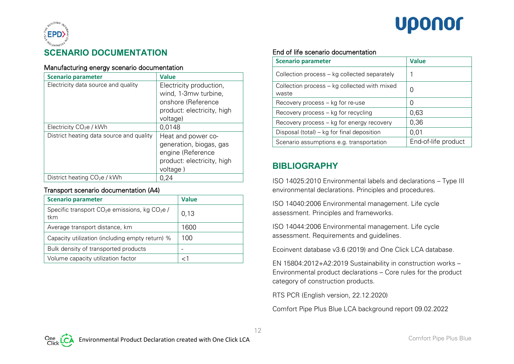# **Uponor**



#### Manufacturing energy scenario documentation

| <b>Scenario parameter</b>                | <b>Value</b>               |
|------------------------------------------|----------------------------|
| Electricity data source and quality      | Electricity production,    |
|                                          | wind, 1-3mw turbine,       |
|                                          | onshore (Reference         |
|                                          | product: electricity, high |
|                                          | voltage)                   |
| Electricity $CO2e / kWh$                 | 0,0148                     |
| District heating data source and quality | Heat and power co-         |
|                                          | generation, biogas, gas    |
|                                          | engine (Reference          |
|                                          | product: electricity, high |
|                                          | voltage)                   |
| District heating $CO2e / kWh$            | 0,24                       |

#### Transport scenario documentation (A4)

| <b>Scenario parameter</b>                                                     | <b>Value</b> |
|-------------------------------------------------------------------------------|--------------|
| Specific transport CO <sub>2</sub> e emissions, kg CO <sub>2</sub> e /<br>tkm | 0,13         |
| Average transport distance, km                                                | 1600         |
| Capacity utilization (including empty return) %                               | 100          |
| Bulk density of transported products                                          |              |
| Volume capacity utilization factor                                            |              |

#### End of life scenario documentation

| <b>Scenario parameter</b>                             | <b>Value</b>        |
|-------------------------------------------------------|---------------------|
| Collection process - kg collected separately          |                     |
| Collection process – kg collected with mixed<br>waste | 0                   |
| Recovery process - kg for re-use                      | 0                   |
| Recovery process - kg for recycling                   | 0,63                |
| Recovery process – kg for energy recovery             | 0,36                |
| Disposal (total) – kg for final deposition            | 0,01                |
| Scenario assumptions e.g. transportation              | End-of-life product |

# **BIBLIOGRAPHY**

ISO 14025:2010 Environmental labels and declarations – Type III environmental declarations. Principles and procedures.

ISO 14040:2006 Environmental management. Life cycle assessment. Principles and frameworks.

ISO 14044:2006 Environmental management. Life cycle assessment. Requirements and guidelines.

Ecoinvent database v3.6 (2019) and One Click LCA database.

EN 15804:2012+A2:2019 Sustainability in construction works – Environmental product declarations – Core rules for the product category of construction products.

RTS PCR (English version, 22.12.2020)

Comfort Pipe Plus Blue LCA background report 09.02.2022

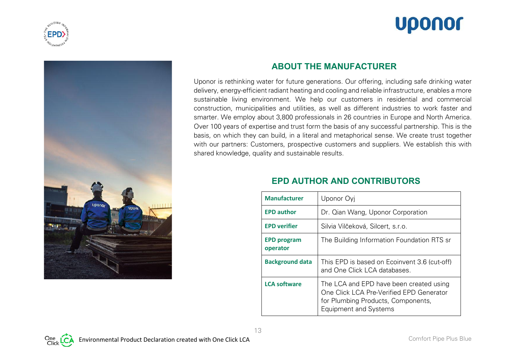





## **ABOUT THE MANUFACTURER**

Uponor is rethinking water for future generations. Our offering, including safe drinking water delivery, energy-efficient radiant heating and cooling and reliable infrastructure, enables a more sustainable living environment. We help our customers in residential and commercial construction, municipalities and utilities, as well as different industries to work faster and smarter. We employ about 3,800 professionals in 26 countries in Europe and North America. Over 100 years of expertise and trust form the basis of any successful partnership. This is the basis, on which they can build, in a literal and metaphorical sense. We create trust together with our partners: Customers, prospective customers and suppliers. We establish this with shared knowledge, quality and sustainable results.

| <b>Manufacturer</b>            | Uponor Oyj                                                                                                                                                |
|--------------------------------|-----------------------------------------------------------------------------------------------------------------------------------------------------------|
| <b>EPD author</b>              | Dr. Qian Wang, Uponor Corporation                                                                                                                         |
| <b>EPD verifier</b>            | Silvia Vilčeková, Silcert, s.r.o.                                                                                                                         |
| <b>EPD program</b><br>operator | The Building Information Foundation RTS sr                                                                                                                |
| <b>Background data</b>         | This EPD is based on Ecoinvent 3.6 (cut-off)<br>and One Click LCA databases.                                                                              |
| <b>LCA software</b>            | The LCA and EPD have been created using<br>One Click LCA Pre-Verified EPD Generator<br>for Plumbing Products, Components,<br><b>Equipment and Systems</b> |

## **EPD AUTHOR AND CONTRIBUTORS**

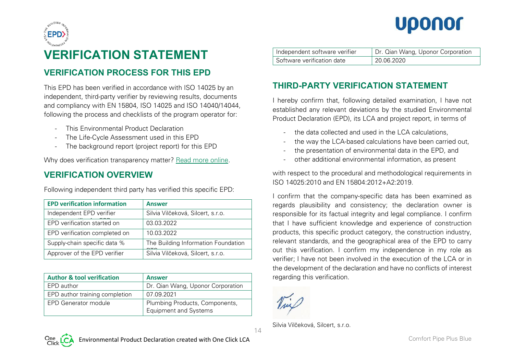



# **VERIFICATION STATEMENT**

# **VERIFICATION PROCESS FOR THIS EPD**

This EPD has been verified in accordance with ISO 14025 by an independent, third-party verifier by reviewing results, documents and compliancy with EN 15804, ISO 14025 and ISO 14040/14044, following the process and checklists of the program operator for:

- This Environmental Product Declaration
- The Life-Cycle Assessment used in this EPD
- The background report (project report) for this EPD

Why does verification transparency matter? [Read more online.](http://www.oneclicklca.com/why-epd-verification-transparency-matters)

# **VERIFICATION OVERVIEW**

Following independent third party has verified this specific EPD:

| <b>EPD verification information</b> | <b>Answer</b>                       |
|-------------------------------------|-------------------------------------|
| Independent EPD verifier            | Silvia Vilčeková, Silcert, s.r.o.   |
| EPD verification started on         | 03.03.2022                          |
| EPD verification completed on       | 10.03.2022                          |
| Supply-chain specific data %        | The Building Information Foundation |
| Approver of the EPD verifier        | Silvia Vilčeková, Silcert, s.r.o.   |

| <b>Author &amp; tool verification</b> | <b>Answer</b>                                                  |
|---------------------------------------|----------------------------------------------------------------|
| EPD author                            | Dr. Qian Wang, Uponor Corporation                              |
| EPD author training completion        | 07.09.2021                                                     |
| EPD Generator module                  | Plumbing Products, Components,<br><b>Equipment and Systems</b> |

| Independent software verifier | Dr. Qian Wang, Uponor Corporation |
|-------------------------------|-----------------------------------|
| Software verification date    | 20.06.2020                        |

# **THIRD-PARTY VERIFICATION STATEMENT**

I hereby confirm that, following detailed examination, I have not established any relevant deviations by the studied Environmental Product Declaration (EPD), its LCA and project report, in terms of

- the data collected and used in the LCA calculations,
- the way the LCA-based calculations have been carried out.
- the presentation of environmental data in the EPD, and
- other additional environmental information, as present

with respect to the procedural and methodological requirements in ISO 14025:2010 and EN 15804:2012+A2:2019.

I confirm that the company-specific data has been examined as regards plausibility and consistency; the declaration owner is responsible for its factual integrity and legal compliance. I confirm that I have sufficient knowledge and experience of construction products, this specific product category, the construction industry, relevant standards, and the geographical area of the EPD to carry out this verification. I confirm my independence in my role as verifier; I have not been involved in the execution of the LCA or in the development of the declaration and have no conflicts of interest regarding this verification.

Silvia Vilčeková, Silcert, s.r.o.

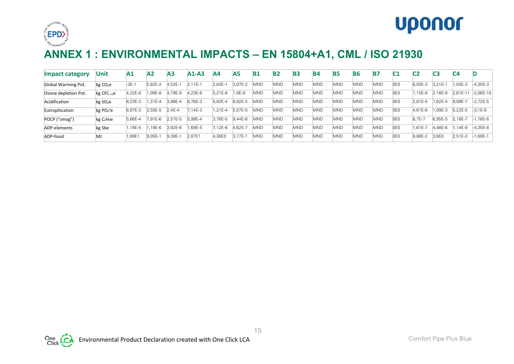



# **ANNEX 1 : ENVIRONMENTAL IMPACTS – EN 15804+A1, CML / ISO 21930**

| <b>Impact category</b> | Unit                               | $\mathbf{A1}$ | $\mathsf{A2}$ | А3        | $A1-A3$   | Α4         | <b>A5</b>   | B1         | B <sub>2</sub> | B <sub>3</sub> | <b>B4</b> | <b>B5</b>  | <b>B6</b>  | <b>B7</b>  | C1  | C <sub>2</sub> | C3         | C <sub>4</sub> |             |
|------------------------|------------------------------------|---------------|---------------|-----------|-----------|------------|-------------|------------|----------------|----------------|-----------|------------|------------|------------|-----|----------------|------------|----------------|-------------|
| Global Warming Pot.    | kg CO <sub>2</sub> e               | $-3E-1$       | 5.82E-2       | $4.52E-7$ | $2.11E-1$ | 2.83E-1    | 3.07E-2     | <b>MND</b> | MND            | <b>MND</b>     | MND       | MND        | <b>MND</b> | <b>MND</b> | 0E0 | 6.55E-3        | 3.21E-     | $.05E - 3$     | $-4,35E-3$  |
| Ozone depletion Pot.   | $kg$ CFC- $11e$                    | 4.22E-6       | ,08E-8        | 4,79E-9   | ,23E-6    | 5.21E-8    | $.9E-9$     | MND        | <b>MND</b>     | <b>MND</b>     | MND       | <b>MND</b> | <b>MND</b> | <b>MND</b> | 0E0 | $.15E-9$       | 18E-8      | 2.61E-11       | $-2,06E-10$ |
| Acidification          | kg SO <sub>2</sub> e               | 8.23E-3       | $.31E - 4$    | 3.96E-4   | 8.76E-3   | 5.82E-4    | 8.92E-5     | MND        | MND            | <b>MND</b>     | MND       | <b>MND</b> | <b>MND</b> | <b>MND</b> | 0E0 | 2.01E-5        | $.62E - 4$ | 9.99E-7        | $-2.72E-5$  |
| Eutrophication         | $kg PO4$ <sup>3</sup> e            | 6.87E-3       | 2,55E-5       | 2.4E-4    | $7,14E-3$ | $.21E - 4$ | 5.57E-5     | MND        | MND            | <b>MND</b>     | MND       | MND        | <b>MND</b> | <b>MND</b> | 0E0 | 4.61E-6        | 09E-3      | 5.22E-5        | $-3.1E-6$   |
| POCP ("smog")          | kg C <sub>2</sub> H <sub>4</sub> e | 5.66E-4       | 7.91E-6       | 2.57E-5   | 5,99E-4   | 3.76E-5    | $9.44E - 6$ | <b>MND</b> | MND            | <b>MND</b>     | MND       | <b>MND</b> | <b>MND</b> | <b>MND</b> | 0E0 | 8.7E-7         | 6,95E-5    | 2.18E-7        | .78E-6      |
| ADP-elements           | kg Sbe                             | .18E-5        | 19E-6         | 3.92E-6   | .69E-5    | 7.12E-6    | 4.62E-7     | <b>MND</b> | <b>MND</b>     | <b>MND</b>     | MND       | MND        | <b>MND</b> | <b>MND</b> | 0E0 | $.61E - 7$     | .,48E-6    | 14E-9          | $-4,35E-8$  |
| ADP-fossil             | MJ                                 | ,89E          | $9,05E-1$     | 9,38E-    | 2,07E1    | 4,36E0     | $3.77E -$   | MND        | <b>MND</b>     | <b>MND</b>     | MND       | MND        | <b>MND</b> | <b>MND</b> | 0E0 | 9,88E-2        | 3.6E0      | $2.51E-3$      | .69E-1      |

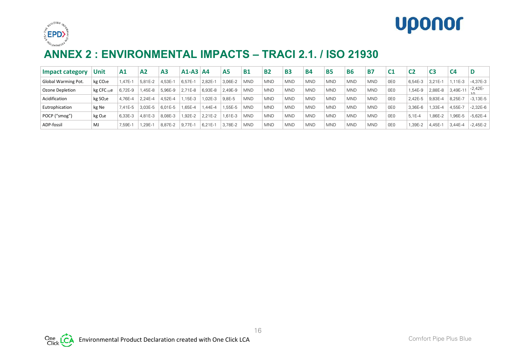



# **ANNEX 2 : ENVIRONMENTAL IMPACTS – TRACI 2.1. / ISO 21930**

| Impact category     | Unit                 | A1      | A2      | A <sub>3</sub> | $A1-A3$ $A4$ |             | A5         | <b>B1</b>  | <b>B2</b>  | <b>B3</b>  | <b>B4</b>  | <b>B5</b>  | <b>B6</b>  | Β7         | C <sub>1</sub>  | C <sub>2</sub> | C3          | C4       | D            |
|---------------------|----------------------|---------|---------|----------------|--------------|-------------|------------|------------|------------|------------|------------|------------|------------|------------|-----------------|----------------|-------------|----------|--------------|
| Global Warming Pot. | kg CO <sub>2</sub> e | .47E-1  | 5.81E-2 | .53E-1         | 6.57E-       | $2,82E-1$   | 3.06E-2    | <b>MND</b> | <b>MND</b> | <b>MND</b> | <b>MND</b> | <b>MND</b> | <b>MND</b> | <b>MND</b> | 0E0             | 6.54E-3        | $3.21E - 1$ | $.11E-3$ | $-4,37E-3$   |
| Ozone Depletion     | $kg$ CFC- $11e$      | 6.72E-9 | .45E-8  | 5.96E-9        | $2.71E-8$    | 6.93E-8     | 2.49E-9    | <b>MND</b> | <b>MND</b> | <b>MND</b> | <b>MND</b> | <b>MND</b> | <b>MND</b> | <b>MND</b> | 0E <sub>0</sub> | 1.54E-9        | 2,88E-8     | 3.49E-11 | $-2,42E-$    |
| Acidification       | kg SO <sub>2</sub> e | 4.76E-4 | 2,24E-4 | 4.52E-4        | .15E-3       | $.02E-3$    | ' 9,8E-5   | <b>MND</b> | <b>MND</b> | <b>MND</b> | <b>MND</b> | <b>MND</b> | <b>MND</b> | <b>MND</b> | 0E0             | 2.42E-5        | 9.83E-4     | 8.25E-7  | $-3,13E-5$   |
| Eutrophication      | kg Ne                | 7.41E-5 | 3.03E-5 | $6.01E - 5$    | $.65E - 4$   | .44E-4      | .55E-5     | <b>MND</b> | <b>MND</b> | <b>MND</b> | <b>MND</b> | <b>MND</b> | <b>MND</b> | <b>MND</b> | OE0             | 3.36E-6        | .33E-4      | .55E-7   | $-2.32E - 6$ |
| POCP ("smog")       | kg O <sub>3</sub> e  | 6.33E-3 | 4.81E-3 | 8.08E-3        | 1.92E-2      | $2.21E - 2$ | $.61E - 3$ | <b>MND</b> | <b>MND</b> | <b>MND</b> | <b>MND</b> | <b>MND</b> | <b>MND</b> | <b>MND</b> | OE0             | $5.1E - 4$     | .86E-2      | .96E-5   | $-5.62E - 4$ |
| ADP-fossil          | MJ                   | 7,59E-1 | .29E-1  | 8.87E-2        | $9.77E -$    | $6.21E-7$   | 3.78E-2    | <b>MND</b> | <b>MND</b> | <b>MND</b> | <b>MND</b> | <b>MND</b> | <b>MND</b> | <b>MND</b> | 0E0             | .39E-2         | 4.45E-1     | 3,44E-4  | $-2.45E-2$   |

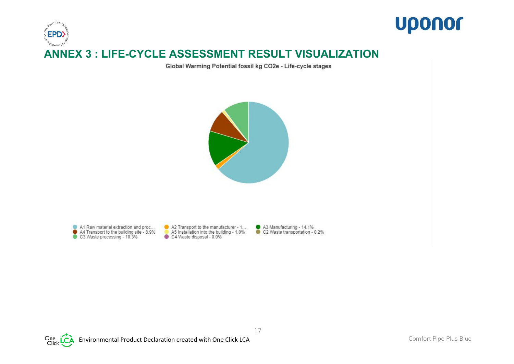

Global Warming Potential fossil kg CO2e - Life-cycle stages



A1 Raw material extraction and proc... ● A4 Transport to the building site - 8.9%<br>● C3 Waste processing - 10.3% A2 Transport to the manufacturer - 1.... A5 Installation into the building - 1.0% C4 Waste disposal - 0.0%

A3 Manufacturing - 14.1%<br>C2 Waste transportation - 0.2%



Environmental Product Declaration created with One Click LCA Comfort Pipe Plus Blue Comfort Pipe Plus Blue

**Uponor**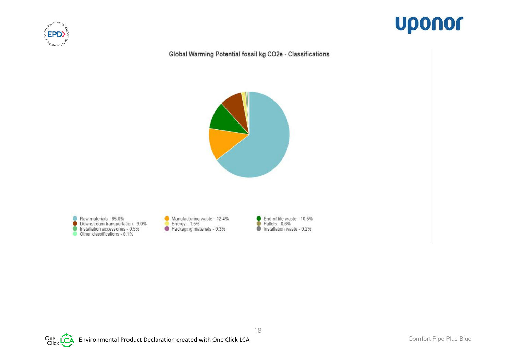



#### Global Warming Potential fossil kg CO2e - Classifications



Raw materials - 65.0% ● Downstream transportation - 9.0%<br>Installation accessories - 0.5%<br>Other classifications - 0.1% Manufacturing waste - 12.4% ■ Energy - 1.5%<br>● Packaging materials - 0.3%

End-of-life waste - 10.5%  $\bullet$ Pallets - 0.6% G Installation waste - 0.2%



Environmental Product Declaration created with One Click LCA Comfort Pipe Plus Blue Comfort Pipe Plus Blue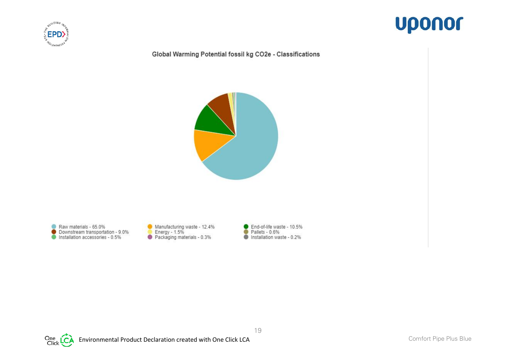



#### Global Warming Potential fossil kg CO2e - Classifications



Raw materials - 65.0% 6 ● Downstream transportation - 9.0%<br>● Installation accessories - 0.5% ● Manufacturing waste - 12.4%<br>Energy - 1.5%<br>● Packaging materials - 0.3%

End-of-life waste - 10.5%<br>Pallets - 0.6%  $\bullet$  $\sqrt{2}$ Installation waste - 0.2%

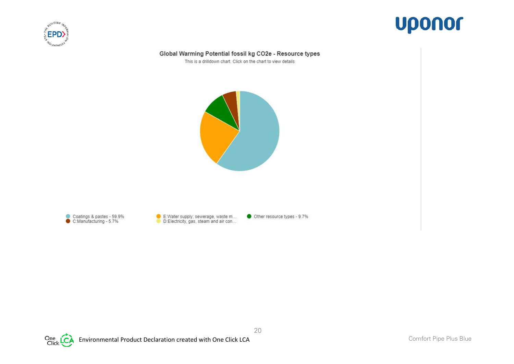



#### Global Warming Potential fossil kg CO2e - Resource types

This is a drilldown chart. Click on the chart to view details





E:Water supply; sewerage, waste m...

Other resource types - 9.7%

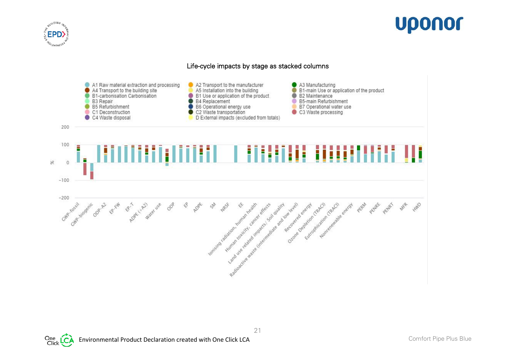



#### Life-cycle impacts by stage as stacked columns